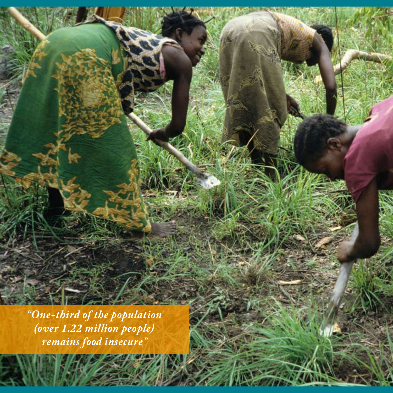*"One-third of the population (over 1.22 million people) remains food insecure"*

10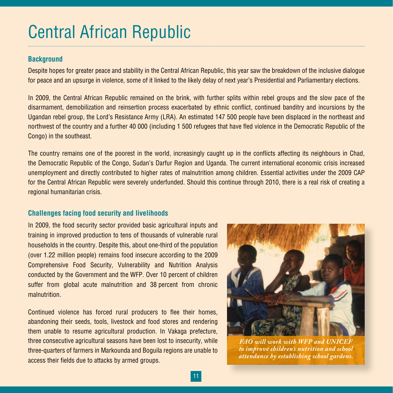# Central African Republic

### **Background**

Despite hopes for greater peace and stability in the Central African Republic, this year saw the breakdown of the inclusive dialogue for peace and an upsurge in violence, some of it linked to the likely delay of next year's Presidential and Parliamentary elections.

In 2009, the Central African Republic remained on the brink, with further splits within rebel groups and the slow pace of the disarmament, demobilization and reinsertion process exacerbated by ethnic conflict, continued banditry and incursions by the Ugandan rebel group, the Lord's Resistance Army (LRA). An estimated 147 500 people have been displaced in the northeast and northwest of the country and a further 40 000 (including 1 500 refugees that have fled violence in the Democratic Republic of the Congo) in the southeast.

The country remains one of the poorest in the world, increasingly caught up in the conflicts affecting its neighbours in Chad, the Democratic Republic of the Congo, Sudan's Darfur Region and Uganda. The current international economic crisis increased unemployment and directly contributed to higher rates of malnutrition among children. Essential activities under the 2009 CAP for the Central African Republic were severely underfunded. Should this continue through 2010, there is a real risk of creating a regional humanitarian crisis.

#### **Challenges facing food security and livelihoods**

In 2009, the food security sector provided basic agricultural inputs and training in improved production to tens of thousands of vulnerable rural households in the country. Despite this, about one-third of the population (over 1.22 million people) remains food insecure according to the 2009 Comprehensive Food Security, Vulnerability and Nutrition Analysis conducted by the Government and the WFP. Over 10 percent of children suffer from global acute malnutrition and 38 percent from chronic malnutrition.

Continued violence has forced rural producers to flee their homes, abandoning their seeds, tools, livestock and food stores and rendering them unable to resume agricultural production. In Vakaga prefecture, three consecutive agricultural seasons have been lost to insecurity, while three-quarters of farmers in Markounda and Boguila regions are unable to access their fields due to attacks by armed groups.



*FAO will work with WFP and UNICEF to improve children's nutrition and school attendance by establishing school gardens.*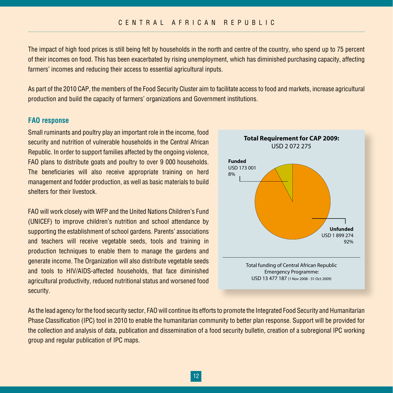The impact of high food prices is still being felt by households in the north and centre of the country, who spend up to 75 percent of their incomes on food. This has been exacerbated by rising unemployment, which has diminished purchasing capacity, affecting farmers' incomes and reducing their access to essential agricultural inputs.

As part of the 2010 CAP, the members of the Food Security Cluster aim to facilitate access to food and markets, increase agricultural production and build the capacity of farmers' organizations and Government institutions.

#### **FAO response**

Small ruminants and poultry play an important role in the income, food security and nutrition of vulnerable households in the Central African Republic. In order to support families affected by the ongoing violence, FAO plans to distribute goats and poultry to over 9 000 households. The beneficiaries will also receive appropriate training on herd management and fodder production, as well as basic materials to build shelters for their livestock.

FAO will work closely with WFP and the United Nations Children's Fund (UNICEF) to improve children's nutrition and school attendance by supporting the establishment of school gardens. Parents' associations and teachers will receive vegetable seeds, tools and training in production techniques to enable them to manage the gardens and generate income. The Organization will also distribute vegetable seeds and tools to HIV/AIDS-affected households, that face diminished agricultural productivity, reduced nutritional status and worsened food security.



As the lead agency for the food security sector, FAO will continue its efforts to promote the Integrated Food Security and Humanitarian Phase Classification (IPC) tool in 2010 to enable the humanitarian community to better plan response. Support will be provided for the collection and analysis of data, publication and dissemination of a food security bulletin, creation of a subregional IPC working group and regular publication of IPC maps.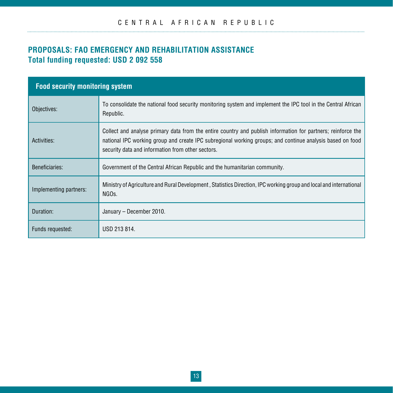## **PROPOSALS: FAO Emergency and Rehabilitation Assistance Total funding requested: USD 2 092 558**

| <b>Food security monitoring system</b> |                                                                                                                                                                                                                                                                                |  |
|----------------------------------------|--------------------------------------------------------------------------------------------------------------------------------------------------------------------------------------------------------------------------------------------------------------------------------|--|
| Objectives:                            | To consolidate the national food security monitoring system and implement the IPC tool in the Central African<br>Republic.                                                                                                                                                     |  |
| Activities:                            | Collect and analyse primary data from the entire country and publish information for partners; reinforce the<br>national IPC working group and create IPC subregional working groups; and continue analysis based on food<br>security data and information from other sectors. |  |
| Beneficiaries:                         | Government of the Central African Republic and the humanitarian community.                                                                                                                                                                                                     |  |
| Implementing partners:                 | Ministry of Agriculture and Rural Development, Statistics Direction, IPC working group and local and international<br>NGO <sub>s.</sub>                                                                                                                                        |  |
| Duration:                              | January - December 2010.                                                                                                                                                                                                                                                       |  |
| Funds requested:                       | USD 213 814.                                                                                                                                                                                                                                                                   |  |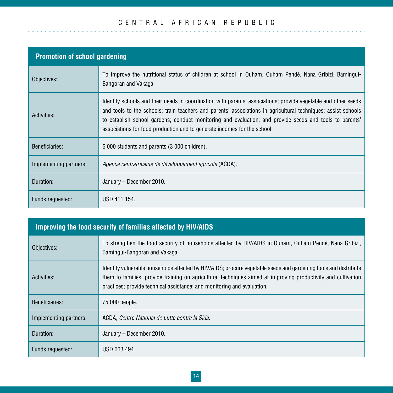## C E N T R A L A F R I C A N R E P U B L I C

| <b>Promotion of school gardening</b> |                                                                                                                                                                                                                                                                                                                                                                                                                        |  |
|--------------------------------------|------------------------------------------------------------------------------------------------------------------------------------------------------------------------------------------------------------------------------------------------------------------------------------------------------------------------------------------------------------------------------------------------------------------------|--|
| Objectives:                          | To improve the nutritional status of children at school in Ouham, Ouham Pendé, Nana Gribizi, Bamingui-<br>Bangoran and Vakaga.                                                                                                                                                                                                                                                                                         |  |
| Activities:                          | Identify schools and their needs in coordination with parents' associations; provide vegetable and other seeds<br>and tools to the schools; train teachers and parents' associations in agricultural techniques; assist schools<br>to establish school gardens; conduct monitoring and evaluation; and provide seeds and tools to parents'<br>associations for food production and to generate incomes for the school. |  |
| Beneficiaries:                       | 6 000 students and parents (3 000 children).                                                                                                                                                                                                                                                                                                                                                                           |  |
| Implementing partners:               | <i>Agence centrafricaine de développement agricole</i> (ACDA).                                                                                                                                                                                                                                                                                                                                                         |  |
| Duration:                            | January – December 2010.                                                                                                                                                                                                                                                                                                                                                                                               |  |
| Funds requested:                     | USD 411 154.                                                                                                                                                                                                                                                                                                                                                                                                           |  |

# **Improving the food security of families affected by HIV/AIDS**

| Objectives:            | To strengthen the food security of households affected by HIV/AIDS in Ouham, Ouham Pendé, Nana Gribizi,<br>Bamingui-Bangoran and Vakaga.                                                                                                                                                                    |
|------------------------|-------------------------------------------------------------------------------------------------------------------------------------------------------------------------------------------------------------------------------------------------------------------------------------------------------------|
| Activities:            | Identify vulnerable households affected by HIV/AIDS; procure vegetable seeds and gardening tools and distribute<br>them to families; provide training on agricultural techniques aimed at improving productivity and cultivation<br>practices; provide technical assistance; and monitoring and evaluation. |
| Beneficiaries:         | 75 000 people.                                                                                                                                                                                                                                                                                              |
| Implementing partners: | ACDA, Centre National de Lutte contre la Sida.                                                                                                                                                                                                                                                              |
| Duration:              | January - December 2010.                                                                                                                                                                                                                                                                                    |
| Funds requested:       | USD 663 494.                                                                                                                                                                                                                                                                                                |